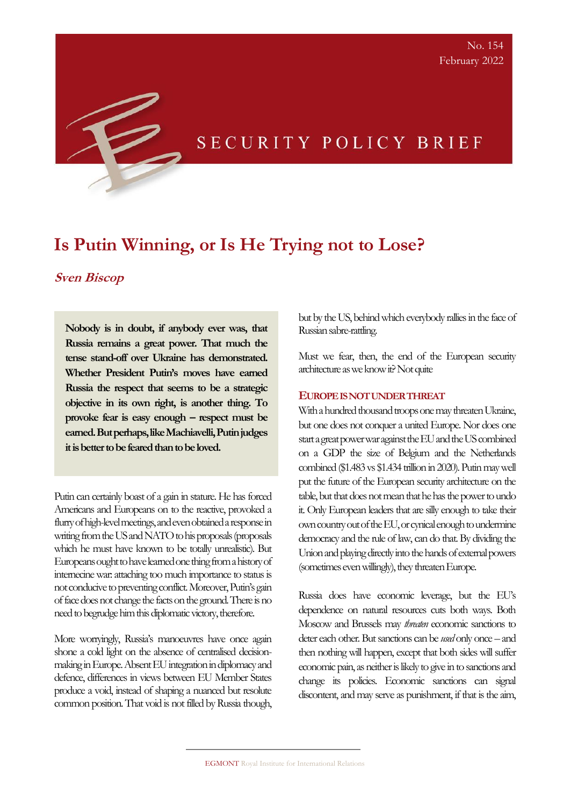# SECURITY POLICY BRIEF

## **Is Putin Winning, or Is He Trying not to Lose?**

### **Sven Biscop**

**Nobody is in doubt, if anybody ever was, that Russia remains a great power. That much the tense stand-off over Ukraine has demonstrated. Whether President Putin's moves have earned Russia the respect that seems to be a strategic objective in its own right, is another thing. To provoke fear is easy enough – respect must be earned. But perhaps, like Machiavelli, Putin judges it is better to be feared than to be loved.**

Putin can certainly boast of a gain in stature. He has forced Americans and Europeans on to the reactive, provoked a flurry of high-level meetings, and even obtained a response in writing from the US and NATO to his proposals (proposals which he must have known to be totally unrealistic). But Europeans ought to have learned one thing from a history of internecine war: attaching too much importance to status is not conducive to preventing conflict. Moreover, Putin's gain of face does not change the facts on the ground. There is no need to begrudge him this diplomatic victory, therefore.

More worryingly, Russia's manoeuvres have once again shone a cold light on the absence of centralised decisionmaking in Europe. Absent EU integration in diplomacy and defence, differences in views between EU Member States produce a void, instead of shaping a nuanced but resolute common position. That void is not filled by Russia though, but by the US, behind which everybody rallies in the face of Russian sabre-rattling.

Must we fear, then, the end of the European security architecture as we know it? Not quite

### **EUROPE IS NOT UNDER THREAT**

With a hundred thousand troops one may threaten Ukraine, but one does not conquer a united Europe. Nor does one start a great power war against the EU and the US combined on a GDP the size of Belgium and the Netherlands combined (\$1.483 vs \$1.434 trillion in 2020). Putin may well put the future of the European security architecture on the table, but that does not mean that he has the power to undo it. Only European leaders that are silly enough to take their own country out of the EU, or cynical enough to undermine democracy and the rule of law, can do that. By dividing the Union and playing directly into the hands of external powers (sometimes even willingly), they threaten Europe.

Russia does have economic leverage, but the EU's dependence on natural resources cuts both ways. Both Moscow and Brussels may *threaten* economic sanctions to deter each other. But sanctions can be *used* only once – and then nothing will happen, except that both sides will suffer economic pain, as neither is likely to give in to sanctions and change its policies. Economic sanctions can signal discontent, and may serve as punishment, if that is the aim,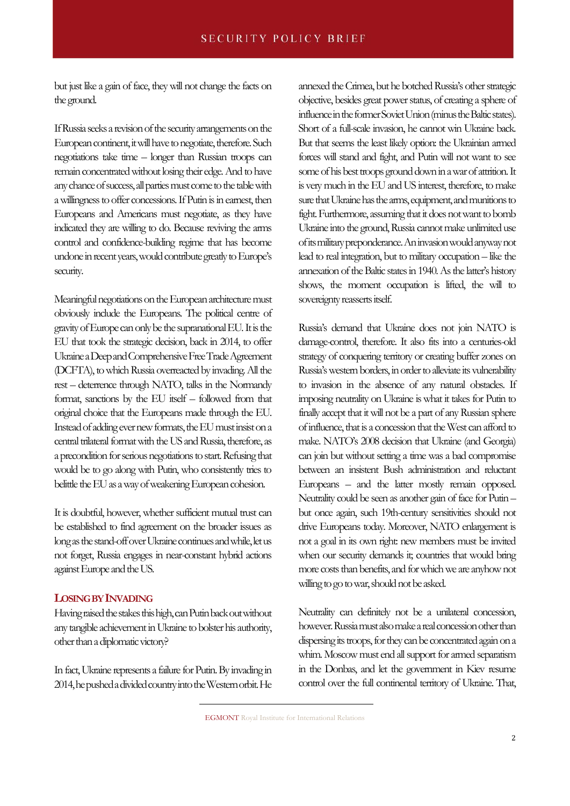but just like a gain of face, they will not change the facts on the ground.

If Russia seeks a revision of the security arrangements on the European continent, it will have to negotiate, therefore. Such negotiations take time – longer than Russian troops can remain concentrated without losing their edge. And to have any chance of success, all parties must come to the table with a willingness to offer concessions. If Putin is in earnest, then Europeans and Americans must negotiate, as they have indicated they are willing to do. Because reviving the arms control and confidence-building regime that has become undone in recent years, would contribute greatly to Europe's security.

Meaningful negotiations on the European architecture must obviously include the Europeans. The political centre of gravity of Europe can only be the supranational EU. It is the EU that took the strategic decision, back in 2014, to offer Ukraine a Deep and Comprehensive Free Trade Agreement (DCFTA), to which Russia overreacted by invading. All the rest – deterrence through NATO, talks in the Normandy format, sanctions by the EU itself – followed from that original choice that the Europeans made through the EU. Instead of adding ever new formats, the EU must insist on a central trilateral format with the US and Russia, therefore, as a precondition for serious negotiations to start. Refusing that would be to go along with Putin, who consistently tries to belittle the EU as a way of weakening European cohesion.

It is doubtful, however, whether sufficient mutual trust can be established to find agreement on the broader issues as long as the stand-off over Ukraine continues and while, let us not forget, Russia engages in near-constant hybrid actions against Europe and the US.

#### **LOSING BY INVADING**

Having raised the stakes this high, can Putin back out without any tangible achievement in Ukraine to bolster his authority, other than a diplomatic victory?

In fact, Ukraine represents a failure for Putin. By invading in 2014, he pushed a divided country into the Western orbit. He annexed the Crimea, but he botched Russia's other strategic objective, besides great power status, of creating a sphere of influence in the former Soviet Union (minus the Baltic states). Short of a full-scale invasion, he cannot win Ukraine back. But that seems the least likely option: the Ukrainian armed forces will stand and fight, and Putin will not want to see some of his best troops ground down in a war of attrition. It is very much in the EU and US interest, therefore, to make sure that Ukraine has the arms, equipment, and munitions to fight. Furthermore, assuming that it does not want to bomb Ukraine into the ground, Russia cannot make unlimited use of its military preponderance. An invasion would anyway not lead to real integration, but to military occupation – like the annexation of the Baltic states in 1940. As the latter's history shows, the moment occupation is lifted, the will to sovereignty reasserts itself.

Russia's demand that Ukraine does not join NATO is damage-control, therefore. It also fits into a centuries-old strategy of conquering territory or creating buffer zones on Russia's western borders, in order to alleviate its vulnerability to invasion in the absence of any natural obstacles. If imposing neutrality on Ukraine is what it takes for Putin to finally accept that it will not be a part of any Russian sphere of influence, that is a concession that the West can afford to make. NATO's 2008 decision that Ukraine (and Georgia) can join but without setting a time was a bad compromise between an insistent Bush administration and reluctant Europeans – and the latter mostly remain opposed. Neutrality could be seen as another gain of face for Putin – but once again, such 19th-century sensitivities should not drive Europeans today. Moreover, NATO enlargement is not a goal in its own right: new members must be invited when our security demands it; countries that would bring more costs than benefits, and for which we are anyhow not willing to go to war, should not be asked.

Neutrality can definitely not be a unilateral concession, however. Russia must also make a real concession other than dispersing its troops, for they can be concentrated again on a whim. Moscow must end all support for armed separatism in the Donbas, and let the government in Kiev resume control over the full continental territory of Ukraine. That,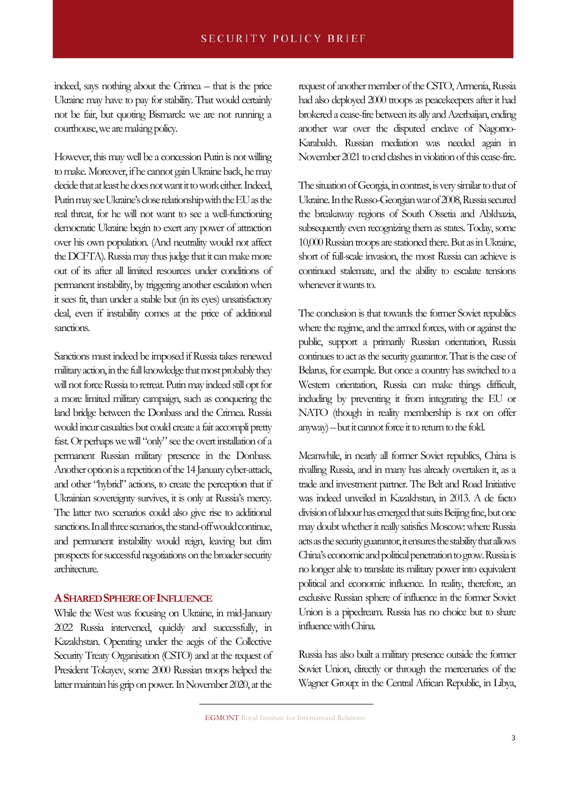indeed, says nothing about the Crimea – that is the price Ukraine may have to pay for stability. That would certainly not be fair, but quoting Bismarck: we are not running a courthouse, we are making policy.

However, this may well be a concession Putin is not willing to make. Moreover, if he cannot gain Ukraine back, he may decide that at least he does not want it to work either. Indeed, Putin may see Ukraine's close relationship with the EU as the real threat, for he will not want to see a well-functioning democratic Ukraine begin to exert any power of attraction over his own population. (And neutrality would not affect the DCFTA). Russia may thus judge that it can make more out of its after all limited resources under conditions of permanent instability, by triggering another escalation when it sees fit, than under a stable but (in its eyes) unsatisfactory deal, even if instability comes at the price of additional sanctions.

Sanctions must indeed be imposed if Russia takes renewed military action, in the full knowledge that most probably they will not force Russia to retreat. Putin may indeed still opt for a more limited military campaign, such as conquering the land bridge between the Donbass and the Crimea. Russia would incur casualties but could create a fait accompli pretty fast. Or perhaps we will "only" see the overt installation of a permanent Russian military presence in the Donbass. Another option is a repetition of the 14 January cyber-attack, and other "hybrid" actions, to create the perception that if Ukrainian sovereignty survives, it is only at Russia's mercy. The latter two scenarios could also give rise to additional sanctions. In all three scenarios, the stand-off would continue, and permanent instability would reign, leaving but dim prospects for successful negotiations on the broader security architecture.

### **ASHARED SPHERE OF INFLUENCE**

While the West was focusing on Ukraine, in mid-January 2022 Russia intervened, quickly and successfully, in Kazakhstan. Operating under the aegis of the Collective Security Treaty Organisation (CSTO) and at the request of President Tokayev, some 2000 Russian troops helped the latter maintain his grip on power. In November 2020, at the request of another member of the CSTO, Armenia, Russia had also deployed 2000 troops as peacekeepers after it had brokered a cease-fire between its ally and Azerbaijan, ending another war over the disputed enclave of Nagorno-Karabakh. Russian mediation was needed again in November 2021 to end clashes in violation of this cease-fire.

The situation of Georgia, in contrast, is very similar to that of Ukraine. In the Russo-Georgian war of 2008, Russia secured the breakaway regions of South Ossetia and Abkhazia, subsequently even recognizing them as states. Today, some 10,000 Russian troops are stationed there. But as in Ukraine, short of full-scale invasion, the most Russia can achieve is continued stalemate, and the ability to escalate tensions whenever it wants to.

The conclusion is that towards the former Soviet republics where the regime, and the armed forces, with or against the public, support a primarily Russian orientation, Russia continues to act as the security guarantor. That is the case of Belarus, for example. But once a country has switched to a Western orientation, Russia can make things difficult, including by preventing it from integrating the EU or NATO (though in reality membership is not on offer anyway) –but it cannot force it to return to the fold.

Meanwhile, in nearly all former Soviet republics, China is rivalling Russia, and in many has already overtaken it, as a trade and investment partner. The Belt and Road Initiative was indeed unveiled in Kazakhstan, in 2013. A de facto division of labour hasemerged that suits Beijing fine, but one may doubt whether it really satisfies Moscow: where Russia acts as the security guarantor, it ensures the stability that allows China's economic and political penetration to grow. Russia is no longer able to translate its military power into equivalent political and economic influence. In reality, therefore, an exclusive Russian sphere of influence in the former Soviet Union is a pipedream. Russia has no choice but to share influence with China.

Russia has also built a military presence outside the former Soviet Union, directly or through the mercenaries of the Wagner Group: in the Central African Republic, in Libya,